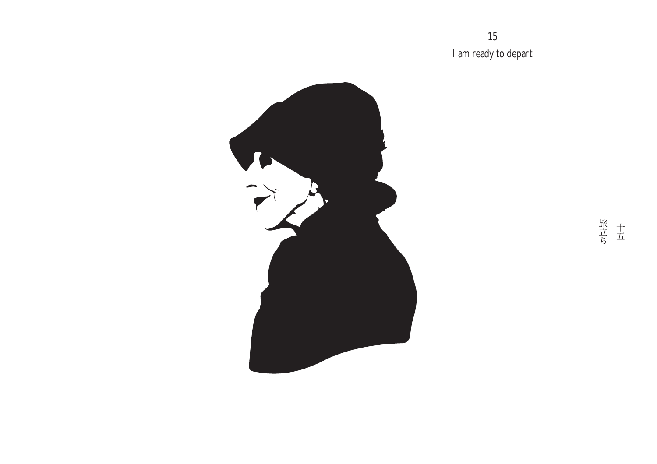15 I am ready to depart



旅<br>立五<br>ち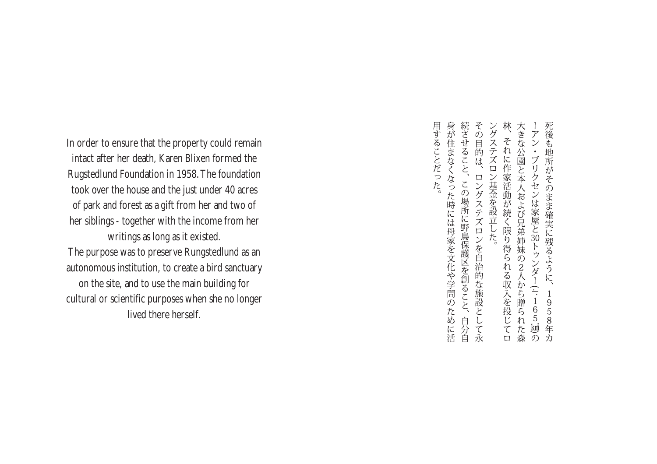In order to ensure that the property could remain intact after her death, Karen Blixen formed the Rugstedlund Foundation in 1958.The foundation took over the house and the just under 40 acres of park and forest as a gift from her and two of her siblings - together with the income from her writings as long as it existed. The purpose was to preserve Rungstedlund as an autonomous institution, to create a bird sanctuary on the site, and to use the main building for cultural or scientific purposes when she no longer lived there herself.

続させること、 その目的は、ロングステズロンを自治的な施設として永 ングステズロン基金を設立した。 林、それに作家活動が続く限り得られる収入を投じてロ 死後も地所がそのまま確実に残るように、1 大きな公園と本人および兄弟姉妹の2人から贈られた森 -アン・ブリクセンは家屋と30トゥンダー(≒165‰)の この場所に野鳥保護区を創ること、自分自 1958年力

身が住まなくなった時には母家を文化や学問のために活

用することだった。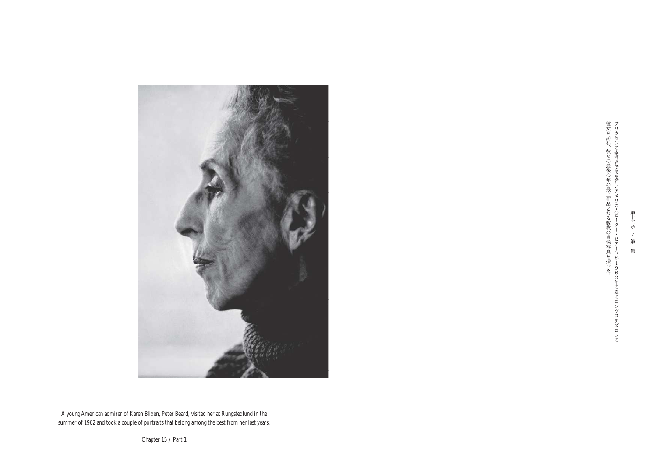

彼女を訪ね、彼女の最後の年の最上作品となる数枚の肖像写真を撮った。「フリクセンのディンの崇拝者である若いアメリカ人ピーター・ビアードが1962年の夏にロングステズロンの

第 五章  $\overline{1}$ 第一節

A young American admirer of Karen Blixen, Peter Beard, visited her at Rungstedlund in the summer of 1962 and took a couple of portraits that belong among the best from her last years.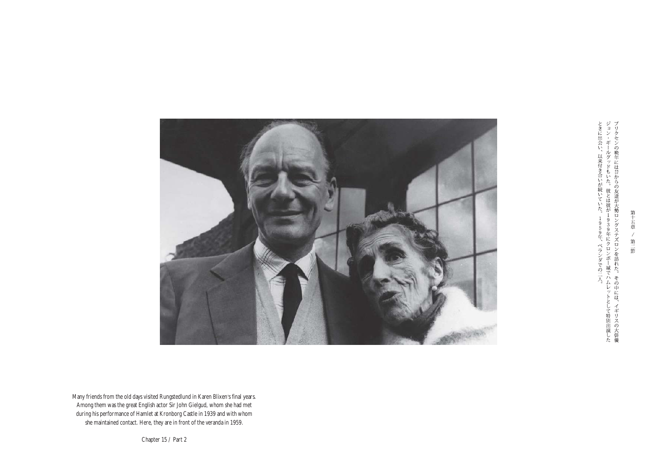

ときに出会い、以来付き合いが続いていた。1959年、ベランダでの二人。ジョン・ギールグッドもいた。彼とは彼が1939年にクロンボー城でハムレットとして特別出演したブリクセンの晩年には昔からの友達が大勢ロングステズロンを訪れた。その中には、イギリスの大俳優

第十

五章 / 第二節

Many friends from the old days visited Rungstedlund in Karen Blixen's final years. Among them was the great English actor Sir John Gielgud, whom she had met during his performance of Hamlet at Kronborg Castle in 1939 and with whom she maintained contact. Here, they are in front of the veranda in 1959.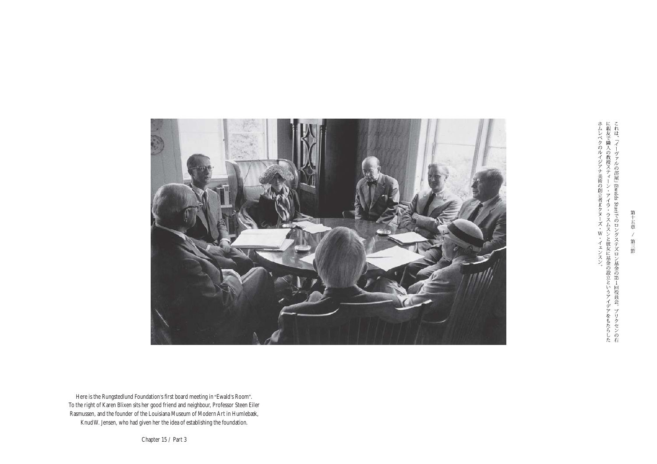

ホムレベクのルイジアナ美術の創立者Kクヌーズ・W・イェンスン。「こというアイデアをもたらしたに親友で隣人の教授スティーン・アイラ・ラスムスンと彼女に基金の設立というアイデアをもたらしたこれは、「イーヴァルの部屋」(Ewalds Stue)でのロングステズロン基金の第1回役員会。ブリクセンの右

第十 五章  $\overline{\mathscr{X}}$ 第三節

Here is the Rungstedlund Foundation's first board meeting in "Ewald's Room". To the right of Karen Blixen sits her good friend and neighbour, Professor Steen Eiler Rasmussen, and the founder of the Louisiana Museum of Modern Art in Humlebæk, KnudW. Jensen, who had given her the idea of establishing the foundation.

Chapter 15 / Part 3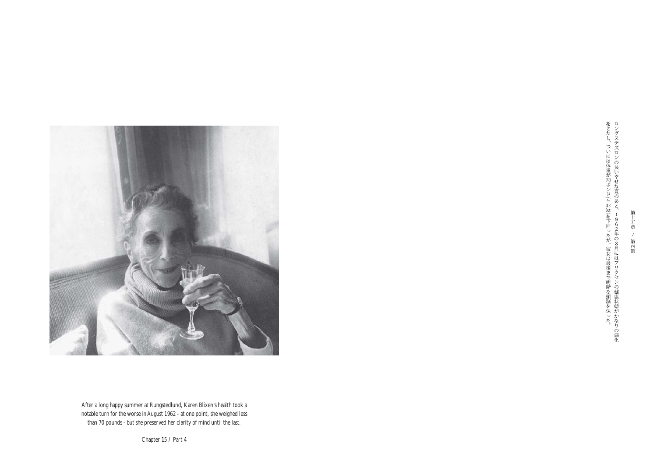

After a long happy summer at Rungstedlund, Karen Blixen's health took a notable turn for the worse inAugust 1962 - at one point, she weighed less than 70 pounds - but she preserved her clarity of mind until the last.

をきたし、ついには体重が70ポンド(ミ32㎏)を下回ったが、彼女は最後まで明晰な頭脳を保った。ロングステズロンの長い幸せな夏のあと、1962年の8月にはブリクセンの健康状態がかなりの悪化

第 五章  $\overline{\mathscr{X}}$ , 第四節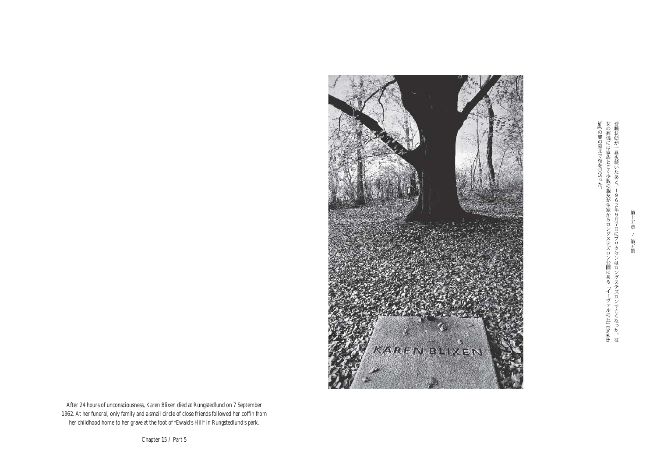hoj)の麓の墓まで棺を見送った。<br>女の葬儀には家族とごく少数の親友が生家からロングステズロン公園にある「イーヴァルの丘」(Ewalds女の葬儀には家族とごく少数の親友が生家からロングステズロングステズロンで亡くなった。彼



After 24 hours of unconsciousness, Karen Blixen died at Rungstedlund on 7 September 1962.At her funeral, only family and a small circle of close friends followed her coffin from her childhood home to her grave at the foot of "Ewald's Hill" in Rungstedlund's park.

Chapter 15 / Part 5